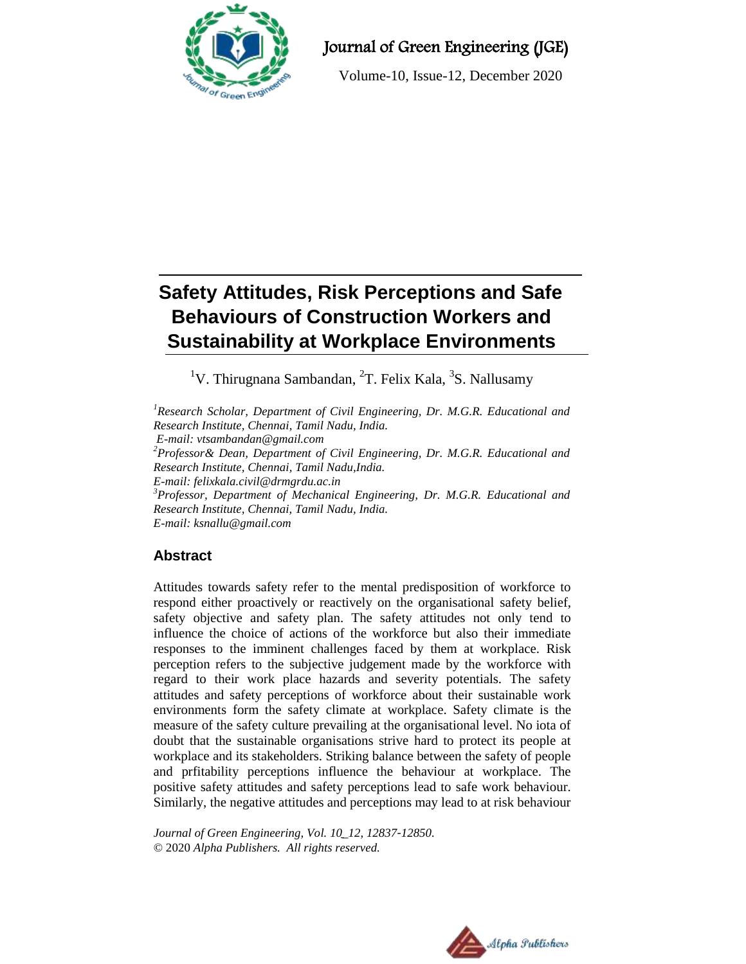

# Journal of Green Engineering (JGE)

Volume-10, Issue-12, December 2020

# **Safety Attitudes, Risk Perceptions and Safe Behaviours of Construction Workers and Sustainability at Workplace Environments**

<sup>1</sup>V. Thirugnana Sambandan, <sup>2</sup>T. Felix Kala, <sup>3</sup>S. Nallusamy

*<sup>1</sup>Research Scholar, Department of Civil Engineering, Dr. M.G.R. Educational and Research Institute, Chennai, Tamil Nadu, India. E-mail: vtsambandan@gmail.com <sup>2</sup>Professor& Dean, Department of Civil Engineering, Dr. M.G.R. Educational and Research Institute, Chennai, Tamil Nadu,India. E-mail: felixkala.civil@drmgrdu.ac.in <sup>3</sup>Professor, Department of Mechanical Engineering, Dr. M.G.R. Educational and Research Institute, Chennai, Tamil Nadu, India. E-mail: ksnallu@gmail.com*

# **Abstract**

Attitudes towards safety refer to the mental predisposition of workforce to respond either proactively or reactively on the organisational safety belief, safety objective and safety plan. The safety attitudes not only tend to influence the choice of actions of the workforce but also their immediate responses to the imminent challenges faced by them at workplace. Risk perception refers to the subjective judgement made by the workforce with regard to their work place hazards and severity potentials. The safety attitudes and safety perceptions of workforce about their sustainable work environments form the safety climate at workplace. Safety climate is the measure of the safety culture prevailing at the organisational level. No iota of doubt that the sustainable organisations strive hard to protect its people at workplace and its stakeholders. Striking balance between the safety of people and prfitability perceptions influence the behaviour at workplace. The positive safety attitudes and safety perceptions lead to safe work behaviour. Similarly, the negative attitudes and perceptions may lead to at risk behaviour

*Journal of Green Engineering, Vol. 10\_12, 12837-12850.* © 2020 *Alpha Publishers. All rights reserved.*

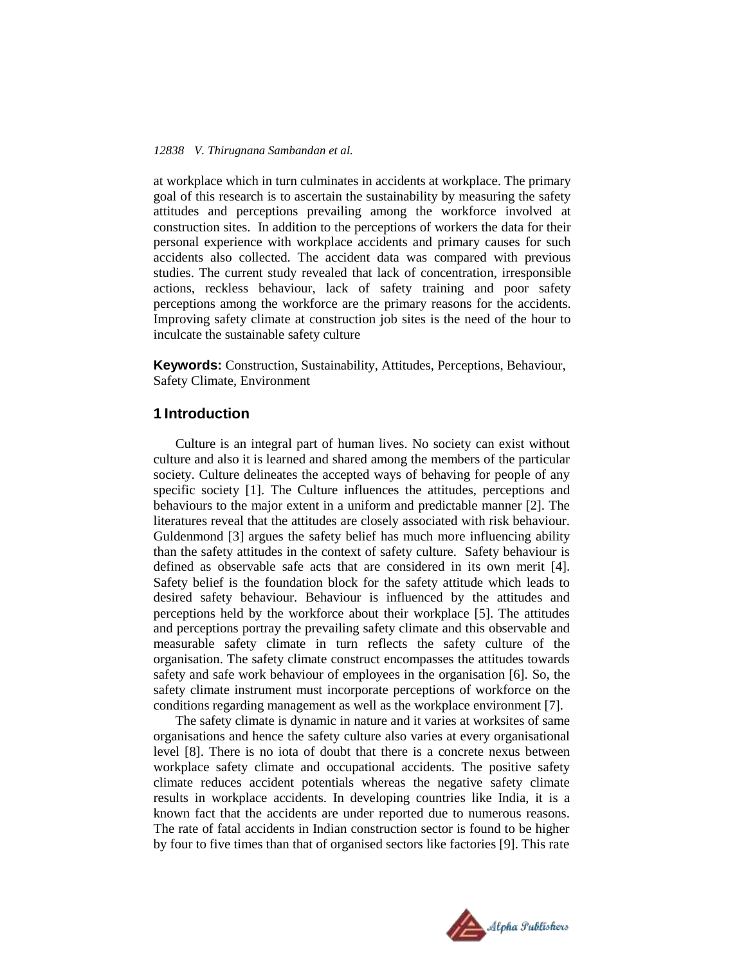at workplace which in turn culminates in accidents at workplace. The primary goal of this research is to ascertain the sustainability by measuring the safety attitudes and perceptions prevailing among the workforce involved at construction sites. In addition to the perceptions of workers the data for their personal experience with workplace accidents and primary causes for such accidents also collected. The accident data was compared with previous studies. The current study revealed that lack of concentration, irresponsible actions, reckless behaviour, lack of safety training and poor safety perceptions among the workforce are the primary reasons for the accidents. Improving safety climate at construction job sites is the need of the hour to inculcate the sustainable safety culture

**Keywords:** Construction, Sustainability, Attitudes, Perceptions, Behaviour, Safety Climate, Environment

# **1 Introduction**

Culture is an integral part of human lives. No society can exist without culture and also it is learned and shared among the members of the particular society. Culture delineates the accepted ways of behaving for people of any specific society [1]. The Culture influences the attitudes, perceptions and behaviours to the major extent in a uniform and predictable manner [2]. The literatures reveal that the attitudes are closely associated with risk behaviour. Guldenmond [3] argues the safety belief has much more influencing ability than the safety attitudes in the context of safety culture. Safety behaviour is defined as observable safe acts that are considered in its own merit [4]. Safety belief is the foundation block for the safety attitude which leads to desired safety behaviour. Behaviour is influenced by the attitudes and perceptions held by the workforce about their workplace [5]. The attitudes and perceptions portray the prevailing safety climate and this observable and measurable safety climate in turn reflects the safety culture of the organisation. The safety climate construct encompasses the attitudes towards safety and safe work behaviour of employees in the organisation [6]. So, the safety climate instrument must incorporate perceptions of workforce on the conditions regarding management as well as the workplace environment [7].

The safety climate is dynamic in nature and it varies at worksites of same organisations and hence the safety culture also varies at every organisational level [8]. There is no iota of doubt that there is a concrete nexus between workplace safety climate and occupational accidents. The positive safety climate reduces accident potentials whereas the negative safety climate results in workplace accidents. In developing countries like India, it is a known fact that the accidents are under reported due to numerous reasons. The rate of fatal accidents in Indian construction sector is found to be higher by four to five times than that of organised sectors like factories [9]. This rate

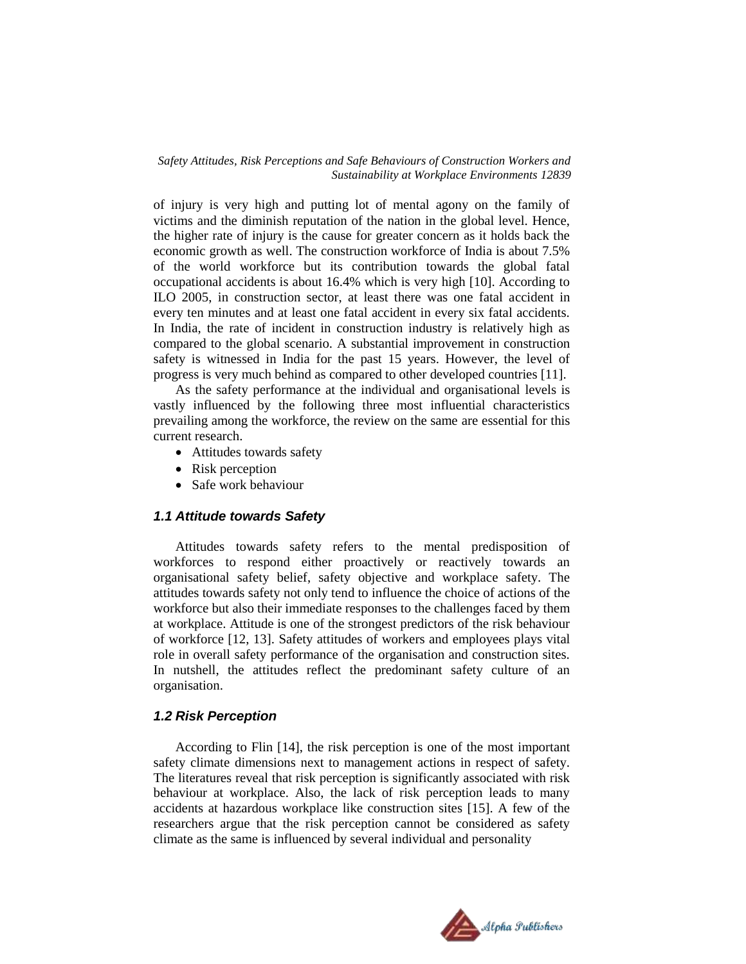of injury is very high and putting lot of mental agony on the family of victims and the diminish reputation of the nation in the global level. Hence, the higher rate of injury is the cause for greater concern as it holds back the economic growth as well. The construction workforce of India is about 7.5% of the world workforce but its contribution towards the global fatal occupational accidents is about 16.4% which is very high [10]. According to ILO 2005, in construction sector, at least there was one fatal accident in every ten minutes and at least one fatal accident in every six fatal accidents. In India, the rate of incident in construction industry is relatively high as compared to the global scenario. A substantial improvement in construction safety is witnessed in India for the past 15 years. However, the level of progress is very much behind as compared to other developed countries [11].

As the safety performance at the individual and organisational levels is vastly influenced by the following three most influential characteristics prevailing among the workforce, the review on the same are essential for this current research.

- Attitudes towards safety
- Risk perception
- Safe work behaviour

## *1.1 Attitude towards Safety*

Attitudes towards safety refers to the mental predisposition of workforces to respond either proactively or reactively towards an organisational safety belief, safety objective and workplace safety. The attitudes towards safety not only tend to influence the choice of actions of the workforce but also their immediate responses to the challenges faced by them at workplace. Attitude is one of the strongest predictors of the risk behaviour of workforce [12, 13]. Safety attitudes of workers and employees plays vital role in overall safety performance of the organisation and construction sites. In nutshell, the attitudes reflect the predominant safety culture of an organisation.

### *1.2 Risk Perception*

According to Flin [14], the risk perception is one of the most important safety climate dimensions next to management actions in respect of safety. The literatures reveal that risk perception is significantly associated with risk behaviour at workplace. Also, the lack of risk perception leads to many accidents at hazardous workplace like construction sites [15]. A few of the researchers argue that the risk perception cannot be considered as safety climate as the same is influenced by several individual and personality

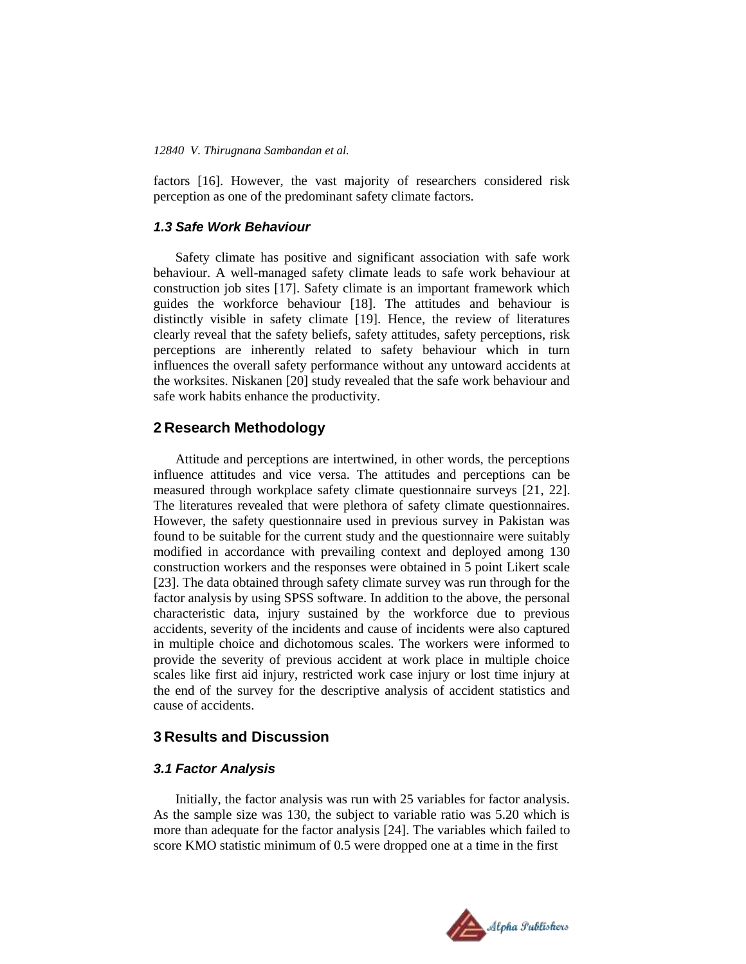factors [16]. However, the vast majority of researchers considered risk perception as one of the predominant safety climate factors.

# *1.3 Safe Work Behaviour*

Safety climate has positive and significant association with safe work behaviour. A well-managed safety climate leads to safe work behaviour at construction job sites [17]. Safety climate is an important framework which guides the workforce behaviour [18]. The attitudes and behaviour is distinctly visible in safety climate [19]. Hence, the review of literatures clearly reveal that the safety beliefs, safety attitudes, safety perceptions, risk perceptions are inherently related to safety behaviour which in turn influences the overall safety performance without any untoward accidents at the worksites. Niskanen [20] study revealed that the safe work behaviour and safe work habits enhance the productivity.

# **2 Research Methodology**

Attitude and perceptions are intertwined, in other words, the perceptions influence attitudes and vice versa. The attitudes and perceptions can be measured through workplace safety climate questionnaire surveys [21, 22]. The literatures revealed that were plethora of safety climate questionnaires. However, the safety questionnaire used in previous survey in Pakistan was found to be suitable for the current study and the questionnaire were suitably modified in accordance with prevailing context and deployed among 130 construction workers and the responses were obtained in 5 point Likert scale [23]. The data obtained through safety climate survey was run through for the factor analysis by using SPSS software. In addition to the above, the personal characteristic data, injury sustained by the workforce due to previous accidents, severity of the incidents and cause of incidents were also captured in multiple choice and dichotomous scales. The workers were informed to provide the severity of previous accident at work place in multiple choice scales like first aid injury, restricted work case injury or lost time injury at the end of the survey for the descriptive analysis of accident statistics and cause of accidents.

# **3 Results and Discussion**

# *3.1 Factor Analysis*

Initially, the factor analysis was run with 25 variables for factor analysis. As the sample size was 130, the subject to variable ratio was 5.20 which is more than adequate for the factor analysis [24]. The variables which failed to score KMO statistic minimum of 0.5 were dropped one at a time in the first

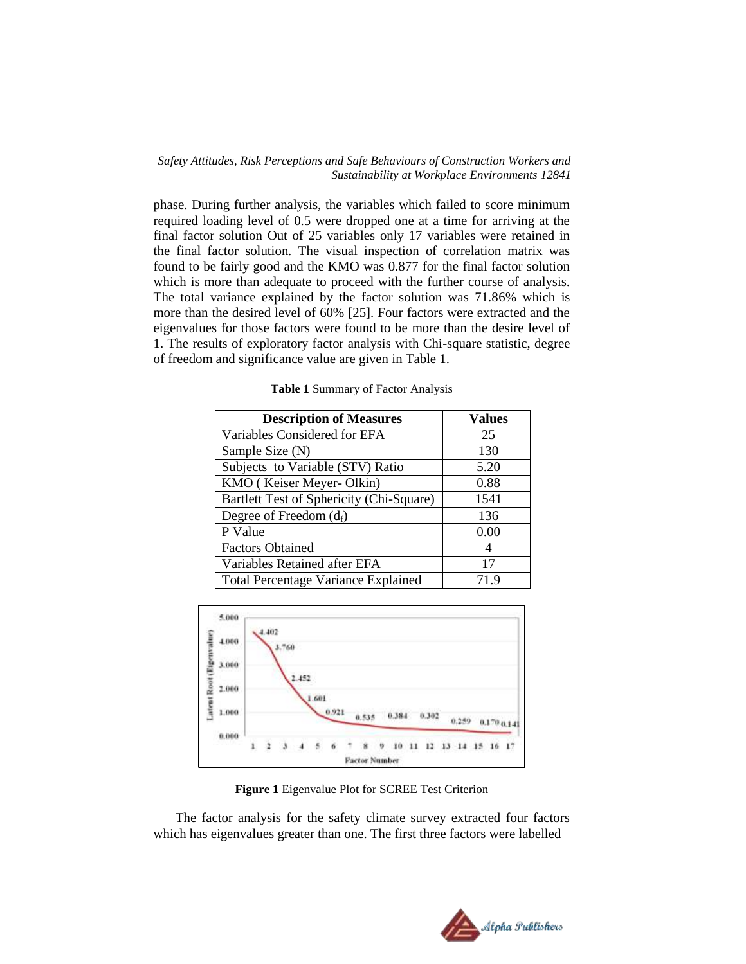phase. During further analysis, the variables which failed to score minimum required loading level of 0.5 were dropped one at a time for arriving at the final factor solution Out of 25 variables only 17 variables were retained in the final factor solution. The visual inspection of correlation matrix was found to be fairly good and the KMO was 0.877 for the final factor solution which is more than adequate to proceed with the further course of analysis. The total variance explained by the factor solution was 71.86% which is more than the desired level of 60% [25]. Four factors were extracted and the eigenvalues for those factors were found to be more than the desire level of 1. The results of exploratory factor analysis with Chi-square statistic, degree of freedom and significance value are given in Table 1.

| <b>Description of Measures</b>             | <b>Values</b> |
|--------------------------------------------|---------------|
| Variables Considered for EFA               | 25            |
| Sample Size (N)                            | 130           |
| Subjects to Variable (STV) Ratio           | 5.20          |
| KMO (Keiser Meyer-Olkin)                   | 0.88          |
| Bartlett Test of Sphericity (Chi-Square)   | 1541          |
| Degree of Freedom $(d_f)$                  | 136           |
| P Value                                    | 0.00          |
| <b>Factors Obtained</b>                    | 4             |
| Variables Retained after EFA               | 17            |
| <b>Total Percentage Variance Explained</b> | 71.9          |

**Table 1** Summary of Factor Analysis



**Figure 1** Eigenvalue Plot for SCREE Test Criterion

The factor analysis for the safety climate survey extracted four factors which has eigenvalues greater than one. The first three factors were labelled

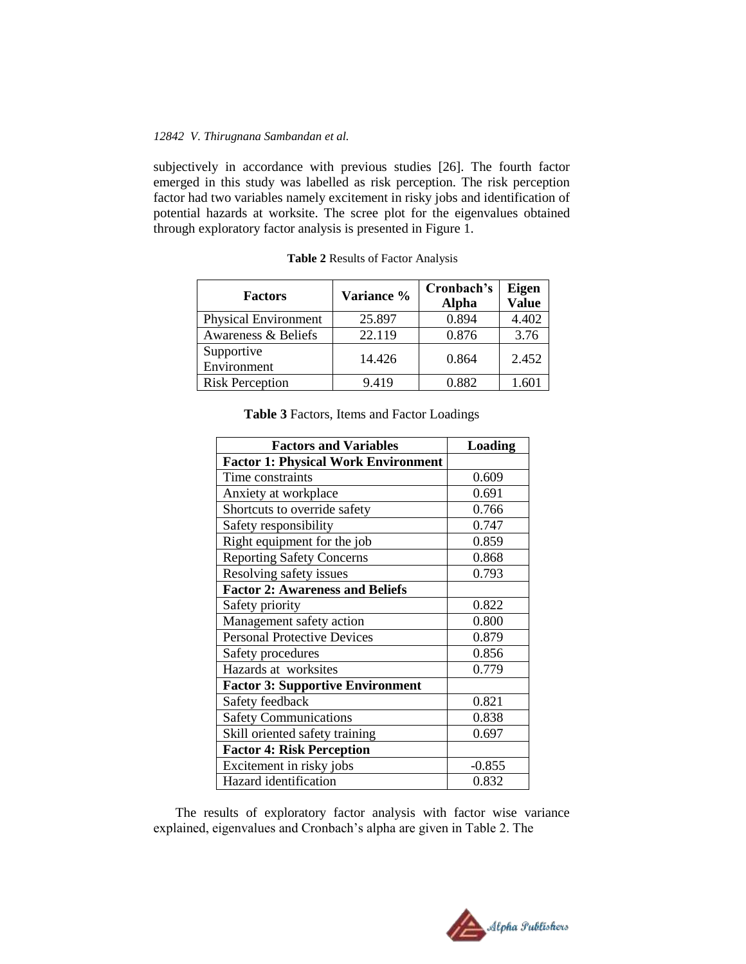subjectively in accordance with previous studies [26]. The fourth factor emerged in this study was labelled as risk perception. The risk perception factor had two variables namely excitement in risky jobs and identification of potential hazards at worksite. The scree plot for the eigenvalues obtained through exploratory factor analysis is presented in Figure 1.

| <b>Factors</b>              | Variance % | Cronbach's<br><b>Alpha</b> | Eigen<br><b>Value</b> |
|-----------------------------|------------|----------------------------|-----------------------|
| <b>Physical Environment</b> | 25.897     | 0.894                      | 4.402                 |
| Awareness & Beliefs         | 22.119     | 0.876                      | 3.76                  |
| Supportive<br>Environment   | 14.426     | 0.864                      | 2.452                 |
| <b>Risk Perception</b>      | 9.419      | 0.882                      | 1.60                  |

|  | Table 2 Results of Factor Analysis |  |
|--|------------------------------------|--|
|  |                                    |  |

|  | Table 3 Factors, Items and Factor Loadings |  |  |
|--|--------------------------------------------|--|--|
|--|--------------------------------------------|--|--|

| <b>Factors and Variables</b>               | <b>Loading</b> |
|--------------------------------------------|----------------|
| <b>Factor 1: Physical Work Environment</b> |                |
| Time constraints                           | 0.609          |
| Anxiety at workplace                       | 0.691          |
| Shortcuts to override safety               | 0.766          |
| Safety responsibility                      | 0.747          |
| Right equipment for the job                | 0.859          |
| <b>Reporting Safety Concerns</b>           | 0.868          |
| Resolving safety issues                    | 0.793          |
| <b>Factor 2: Awareness and Beliefs</b>     |                |
| Safety priority                            | 0.822          |
| Management safety action                   | 0.800          |
| <b>Personal Protective Devices</b>         | 0.879          |
| Safety procedures                          | 0.856          |
| Hazards at worksites                       | 0.779          |
| <b>Factor 3: Supportive Environment</b>    |                |
| Safety feedback                            | 0.821          |
| <b>Safety Communications</b>               | 0.838          |
| Skill oriented safety training             | 0.697          |
| <b>Factor 4: Risk Perception</b>           |                |
| Excitement in risky jobs                   | $-0.855$       |
| Hazard identification                      | 0.832          |

The results of exploratory factor analysis with factor wise variance explained, eigenvalues and Cronbach's alpha are given in Table 2. The

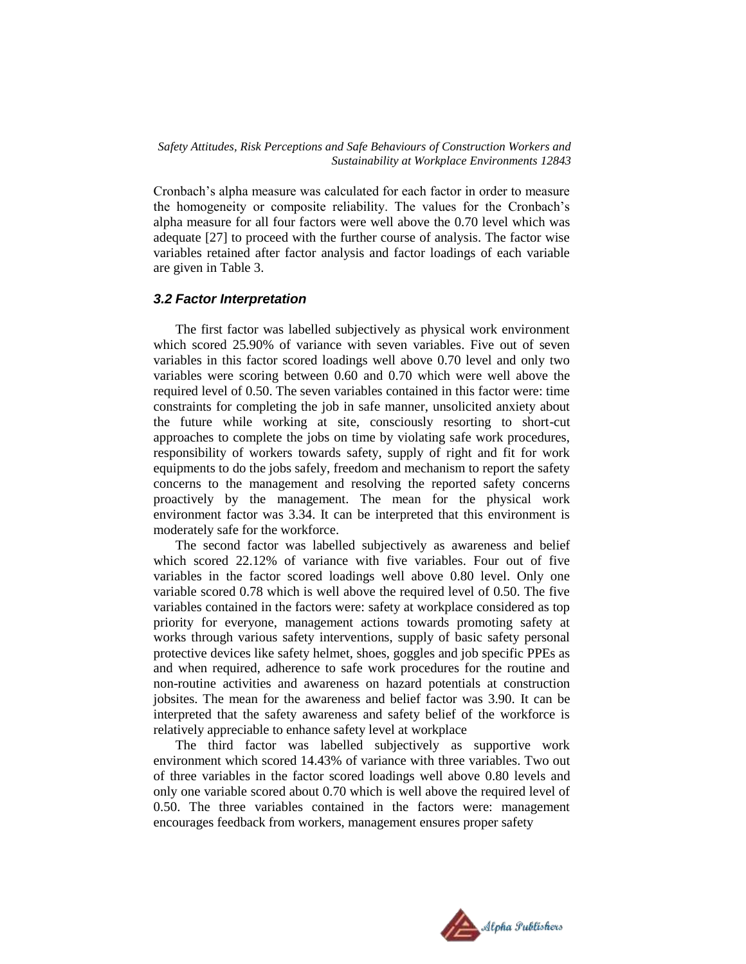Cronbach's alpha measure was calculated for each factor in order to measure the homogeneity or composite reliability. The values for the Cronbach's alpha measure for all four factors were well above the 0.70 level which was adequate [27] to proceed with the further course of analysis. The factor wise variables retained after factor analysis and factor loadings of each variable are given in Table 3.

## *3.2 Factor Interpretation*

The first factor was labelled subjectively as physical work environment which scored 25.90% of variance with seven variables. Five out of seven variables in this factor scored loadings well above 0.70 level and only two variables were scoring between 0.60 and 0.70 which were well above the required level of 0.50. The seven variables contained in this factor were: time constraints for completing the job in safe manner, unsolicited anxiety about the future while working at site, consciously resorting to short-cut approaches to complete the jobs on time by violating safe work procedures, responsibility of workers towards safety, supply of right and fit for work equipments to do the jobs safely, freedom and mechanism to report the safety concerns to the management and resolving the reported safety concerns proactively by the management. The mean for the physical work environment factor was 3.34. It can be interpreted that this environment is moderately safe for the workforce.

The second factor was labelled subjectively as awareness and belief which scored 22.12% of variance with five variables. Four out of five variables in the factor scored loadings well above 0.80 level. Only one variable scored 0.78 which is well above the required level of 0.50. The five variables contained in the factors were: safety at workplace considered as top priority for everyone, management actions towards promoting safety at works through various safety interventions, supply of basic safety personal protective devices like safety helmet, shoes, goggles and job specific PPEs as and when required, adherence to safe work procedures for the routine and non-routine activities and awareness on hazard potentials at construction jobsites. The mean for the awareness and belief factor was 3.90. It can be interpreted that the safety awareness and safety belief of the workforce is relatively appreciable to enhance safety level at workplace

The third factor was labelled subjectively as supportive work environment which scored 14.43% of variance with three variables. Two out of three variables in the factor scored loadings well above 0.80 levels and only one variable scored about 0.70 which is well above the required level of 0.50. The three variables contained in the factors were: management encourages feedback from workers, management ensures proper safety

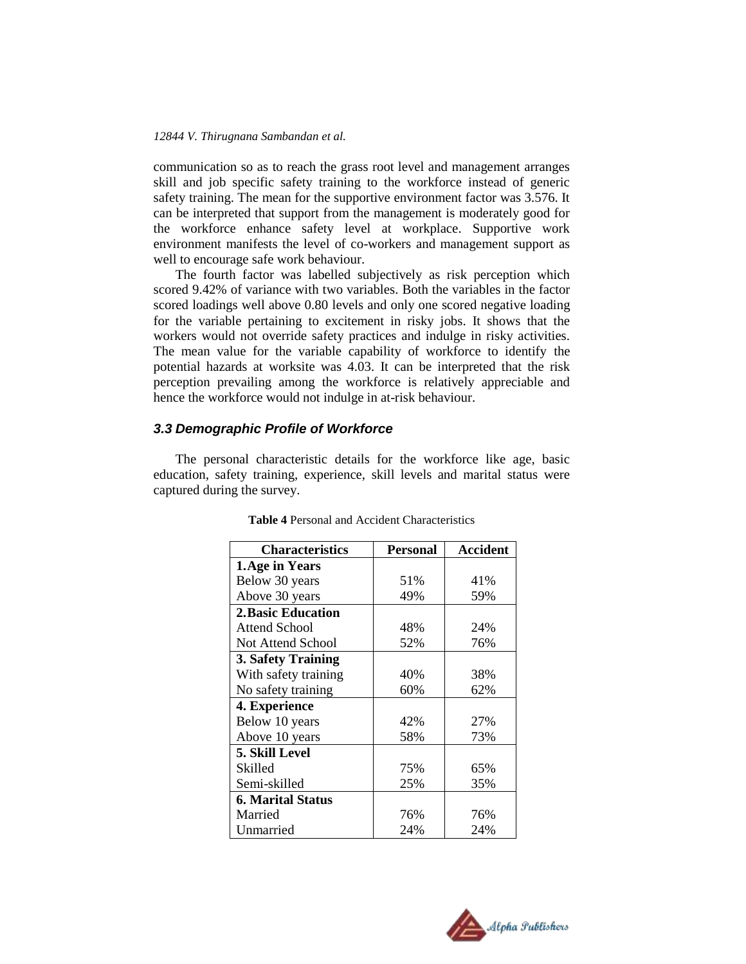communication so as to reach the grass root level and management arranges skill and job specific safety training to the workforce instead of generic safety training. The mean for the supportive environment factor was 3.576. It can be interpreted that support from the management is moderately good for the workforce enhance safety level at workplace. Supportive work environment manifests the level of co-workers and management support as well to encourage safe work behaviour.

The fourth factor was labelled subjectively as risk perception which scored 9.42% of variance with two variables. Both the variables in the factor scored loadings well above 0.80 levels and only one scored negative loading for the variable pertaining to excitement in risky jobs. It shows that the workers would not override safety practices and indulge in risky activities. The mean value for the variable capability of workforce to identify the potential hazards at worksite was 4.03. It can be interpreted that the risk perception prevailing among the workforce is relatively appreciable and hence the workforce would not indulge in at-risk behaviour.

# *3.3 Demographic Profile of Workforce*

The personal characteristic details for the workforce like age, basic education, safety training, experience, skill levels and marital status were captured during the survey.

| <b>Characteristics</b>   | Personal | Accident |
|--------------------------|----------|----------|
| 1. Age in Years          |          |          |
| Below 30 years           | 51%      | 41%      |
| Above 30 years           | 49%      | 59%      |
| 2. Basic Education       |          |          |
| Attend School            | 48%      | 24%      |
| Not Attend School        | 52%      | 76%      |
| 3. Safety Training       |          |          |
| With safety training     | 40%      | 38%      |
| No safety training       | 60%      | 62%      |
| 4. Experience            |          |          |
| Below 10 years           | 42%      | 27%      |
| Above 10 years           | 58%      | 73%      |
| 5. Skill Level           |          |          |
| Skilled                  | 75%      | 65%      |
| Semi-skilled             | 25%      | 35%      |
| <b>6. Marital Status</b> |          |          |
| Married                  | 76%      | 76%      |
| Unmarried                | 24%      | 24%      |

**Table 4** Personal and Accident Characteristics

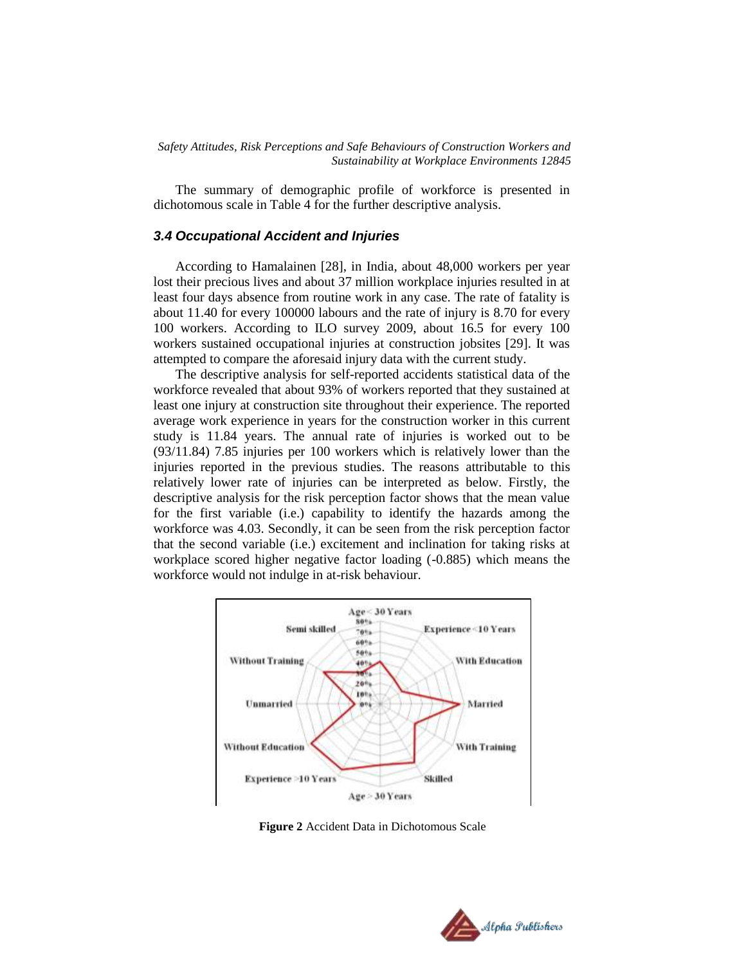The summary of demographic profile of workforce is presented in dichotomous scale in Table 4 for the further descriptive analysis.

# *3.4 Occupational Accident and Injuries*

According to Hamalainen [28], in India, about 48,000 workers per year lost their precious lives and about 37 million workplace injuries resulted in at least four days absence from routine work in any case. The rate of fatality is about 11.40 for every 100000 labours and the rate of injury is 8.70 for every 100 workers. According to ILO survey 2009, about 16.5 for every 100 workers sustained occupational injuries at construction jobsites [29]. It was attempted to compare the aforesaid injury data with the current study.

The descriptive analysis for self-reported accidents statistical data of the workforce revealed that about 93% of workers reported that they sustained at least one injury at construction site throughout their experience. The reported average work experience in years for the construction worker in this current study is 11.84 years. The annual rate of injuries is worked out to be (93/11.84) 7.85 injuries per 100 workers which is relatively lower than the injuries reported in the previous studies. The reasons attributable to this relatively lower rate of injuries can be interpreted as below. Firstly, the descriptive analysis for the risk perception factor shows that the mean value for the first variable (i.e.) capability to identify the hazards among the workforce was 4.03. Secondly, it can be seen from the risk perception factor that the second variable (i.e.) excitement and inclination for taking risks at workplace scored higher negative factor loading (-0.885) which means the workforce would not indulge in at-risk behaviour.



**Figure 2** Accident Data in Dichotomous Scale

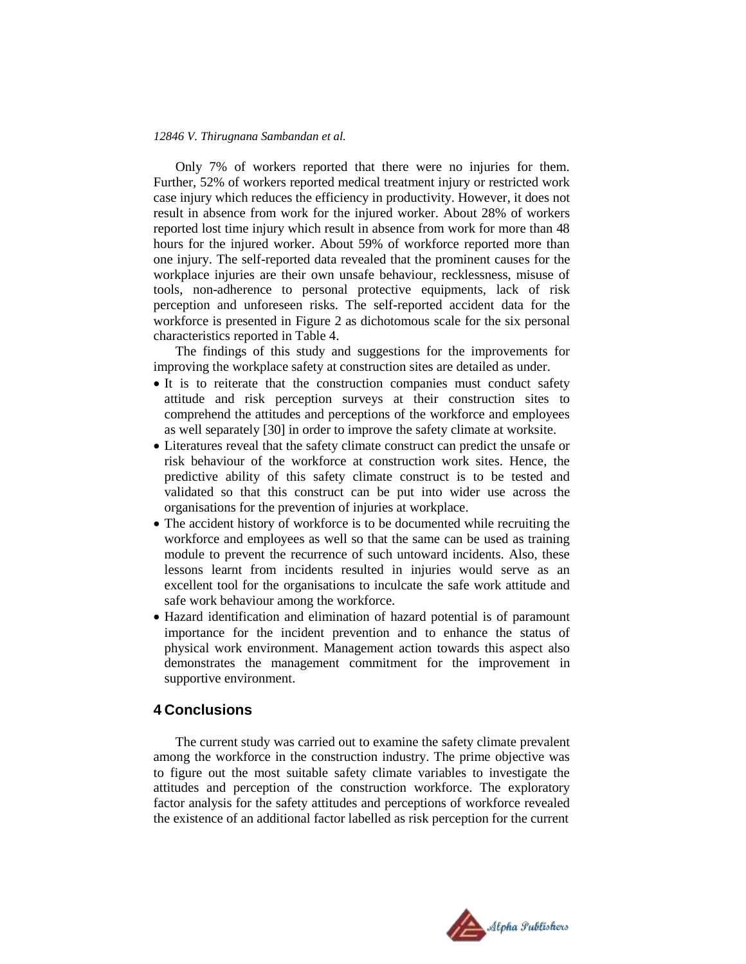Only 7% of workers reported that there were no injuries for them. Further, 52% of workers reported medical treatment injury or restricted work case injury which reduces the efficiency in productivity. However, it does not result in absence from work for the injured worker. About 28% of workers reported lost time injury which result in absence from work for more than 48 hours for the injured worker. About 59% of workforce reported more than one injury. The self-reported data revealed that the prominent causes for the workplace injuries are their own unsafe behaviour, recklessness, misuse of tools, non-adherence to personal protective equipments, lack of risk perception and unforeseen risks. The self-reported accident data for the workforce is presented in Figure 2 as dichotomous scale for the six personal characteristics reported in Table 4.

The findings of this study and suggestions for the improvements for improving the workplace safety at construction sites are detailed as under.

- It is to reiterate that the construction companies must conduct safety attitude and risk perception surveys at their construction sites to comprehend the attitudes and perceptions of the workforce and employees as well separately [30] in order to improve the safety climate at worksite.
- Literatures reveal that the safety climate construct can predict the unsafe or risk behaviour of the workforce at construction work sites. Hence, the predictive ability of this safety climate construct is to be tested and validated so that this construct can be put into wider use across the organisations for the prevention of injuries at workplace.
- The accident history of workforce is to be documented while recruiting the workforce and employees as well so that the same can be used as training module to prevent the recurrence of such untoward incidents. Also, these lessons learnt from incidents resulted in injuries would serve as an excellent tool for the organisations to inculcate the safe work attitude and safe work behaviour among the workforce.
- Hazard identification and elimination of hazard potential is of paramount importance for the incident prevention and to enhance the status of physical work environment. Management action towards this aspect also demonstrates the management commitment for the improvement in supportive environment.

# **4 Conclusions**

The current study was carried out to examine the safety climate prevalent among the workforce in the construction industry. The prime objective was to figure out the most suitable safety climate variables to investigate the attitudes and perception of the construction workforce. The exploratory factor analysis for the safety attitudes and perceptions of workforce revealed the existence of an additional factor labelled as risk perception for the current

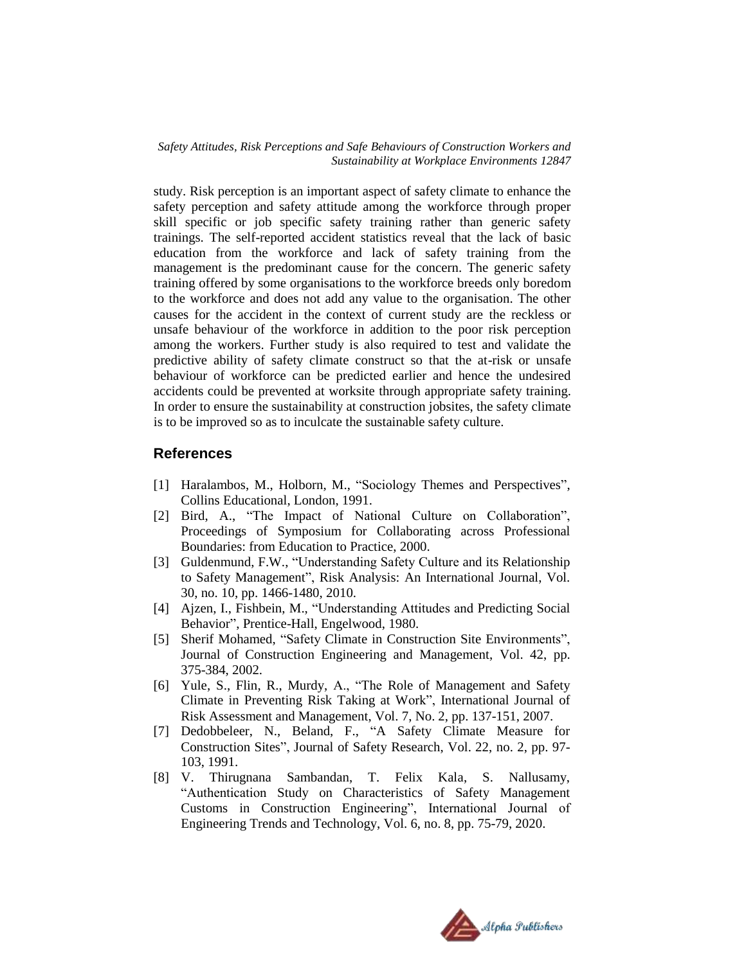study. Risk perception is an important aspect of safety climate to enhance the safety perception and safety attitude among the workforce through proper skill specific or job specific safety training rather than generic safety trainings. The self-reported accident statistics reveal that the lack of basic education from the workforce and lack of safety training from the management is the predominant cause for the concern. The generic safety training offered by some organisations to the workforce breeds only boredom to the workforce and does not add any value to the organisation. The other causes for the accident in the context of current study are the reckless or unsafe behaviour of the workforce in addition to the poor risk perception among the workers. Further study is also required to test and validate the predictive ability of safety climate construct so that the at-risk or unsafe behaviour of workforce can be predicted earlier and hence the undesired accidents could be prevented at worksite through appropriate safety training. In order to ensure the sustainability at construction jobsites, the safety climate is to be improved so as to inculcate the sustainable safety culture.

# **References**

- [1] Haralambos, M., Holborn, M., "Sociology Themes and Perspectives", Collins Educational, London, 1991.
- [2] Bird, A., "The Impact of National Culture on Collaboration", Proceedings of Symposium for Collaborating across Professional Boundaries: from Education to Practice, 2000.
- [3] Guldenmund, F.W., "Understanding Safety Culture and its Relationship to Safety Management", Risk Analysis: An International Journal, Vol. 30, no. 10, pp. 1466-1480, 2010.
- [4] Ajzen, I., Fishbein, M., "Understanding Attitudes and Predicting Social Behavior", Prentice-Hall, Engelwood, 1980.
- [5] Sherif Mohamed, "Safety Climate in Construction Site Environments", Journal of Construction Engineering and Management, Vol. 42, pp. 375-384, 2002.
- [6] Yule, S., Flin, R., Murdy, A., "The Role of Management and Safety Climate in Preventing Risk Taking at Work", International Journal of Risk Assessment and Management, Vol. 7, No. 2, pp. 137-151, 2007.
- [7] Dedobbeleer, N., Beland, F., "A Safety Climate Measure for Construction Sites", Journal of Safety Research, Vol. 22, no. 2, pp. 97- 103, 1991.
- [8] V. Thirugnana Sambandan, T. Felix Kala, S. Nallusamy, "Authentication Study on Characteristics of Safety Management Customs in Construction Engineering", International Journal of Engineering Trends and Technology, Vol. 6, no. 8, pp. 75-79, 2020.

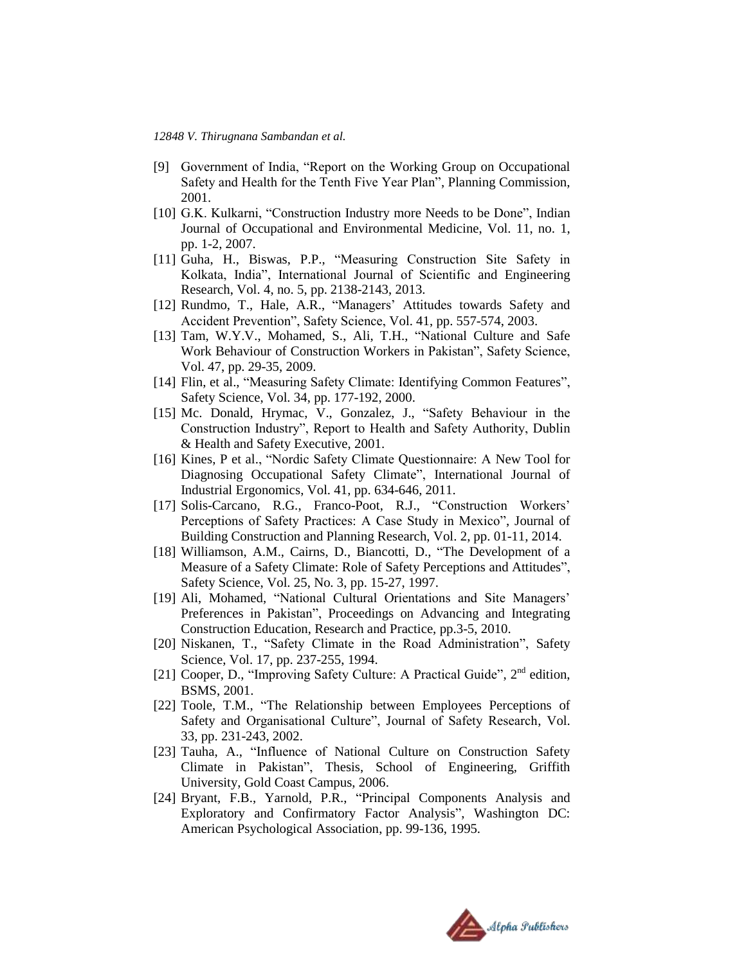- [9] Government of India, "Report on the Working Group on Occupational Safety and Health for the Tenth Five Year Plan", Planning Commission, 2001.
- [10] G.K. Kulkarni, "Construction Industry more Needs to be Done", Indian Journal of Occupational and Environmental Medicine, Vol. 11, no. 1, pp. 1-2, 2007.
- [11] Guha, H., Biswas, P.P., "Measuring Construction Site Safety in Kolkata, India", International Journal of Scientific and Engineering Research, Vol. 4, no. 5, pp. 2138-2143, 2013.
- [12] Rundmo, T., Hale, A.R., "Managers' Attitudes towards Safety and Accident Prevention", Safety Science, Vol. 41, pp. 557-574, 2003.
- [13] Tam, W.Y.V., Mohamed, S., Ali, T.H., "National Culture and Safe Work Behaviour of Construction Workers in Pakistan", Safety Science, Vol. 47, pp. 29-35, 2009.
- [14] Flin, et al., "Measuring Safety Climate: Identifying Common Features", Safety Science, Vol. 34, pp. 177-192, 2000.
- [15] Mc. Donald, Hrymac, V., Gonzalez, J., "Safety Behaviour in the Construction Industry", Report to Health and Safety Authority, Dublin & Health and Safety Executive, 2001.
- [16] Kines, P et al., "Nordic Safety Climate Questionnaire: A New Tool for Diagnosing Occupational Safety Climate", International Journal of Industrial Ergonomics, Vol. 41, pp. 634-646, 2011.
- [17] Solis-Carcano, R.G., Franco-Poot, R.J., "Construction Workers' Perceptions of Safety Practices: A Case Study in Mexico", Journal of Building Construction and Planning Research, Vol. 2, pp. 01-11, 2014.
- [18] Williamson, A.M., Cairns, D., Biancotti, D., "The Development of a Measure of a Safety Climate: Role of Safety Perceptions and Attitudes", Safety Science, Vol. 25, No. 3, pp. 15-27, 1997.
- [19] Ali, Mohamed, "National Cultural Orientations and Site Managers' Preferences in Pakistan", Proceedings on Advancing and Integrating Construction Education, Research and Practice, pp.3-5, 2010.
- [20] Niskanen, T., "Safety Climate in the Road Administration", Safety Science, Vol. 17, pp. 237-255, 1994.
- [21] Cooper, D., "Improving Safety Culture: A Practical Guide", 2<sup>nd</sup> edition, BSMS, 2001.
- [22] Toole, T.M., "The Relationship between Employees Perceptions of Safety and Organisational Culture", Journal of Safety Research, Vol. 33, pp. 231-243, 2002.
- [23] Tauha, A., "Influence of National Culture on Construction Safety Climate in Pakistan", Thesis, School of Engineering, Griffith University, Gold Coast Campus, 2006.
- [24] Bryant, F.B., Yarnold, P.R., "Principal Components Analysis and Exploratory and Confirmatory Factor Analysis", Washington DC: American Psychological Association, pp. 99-136, 1995.

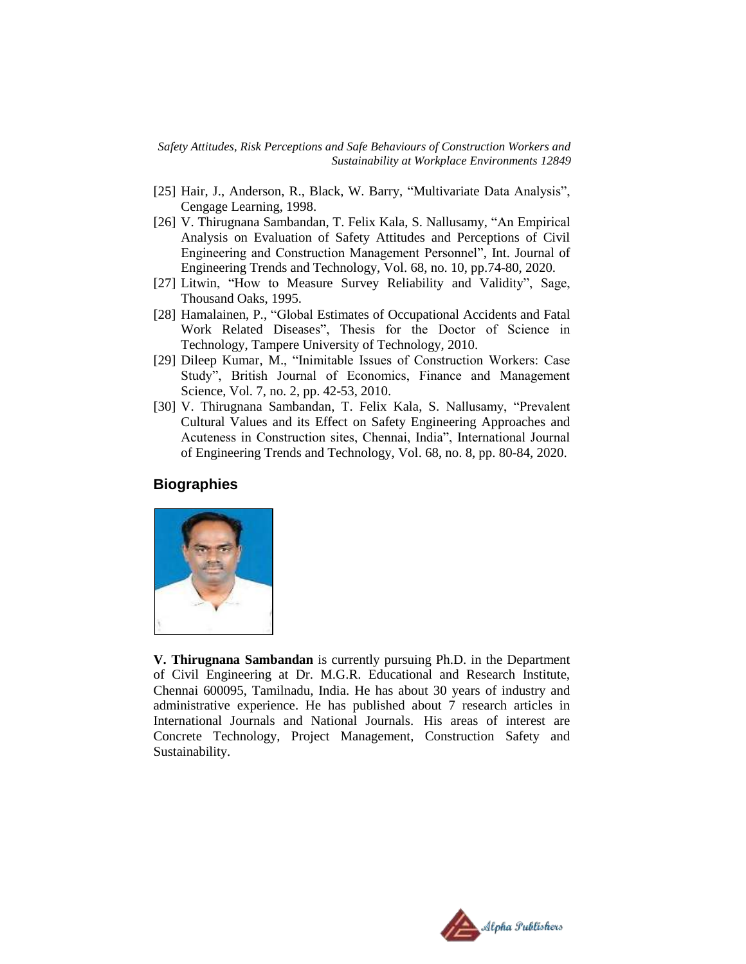- [25] Hair, J., Anderson, R., Black, W. Barry, "Multivariate Data Analysis", Cengage Learning, 1998.
- [26] V. Thirugnana Sambandan, T. Felix Kala, S. Nallusamy, "An Empirical Analysis on Evaluation of Safety Attitudes and Perceptions of Civil Engineering and Construction Management Personnel", Int. Journal of Engineering Trends and Technology, Vol. 68, no. 10, pp.74-80, 2020.
- [27] Litwin, "How to Measure Survey Reliability and Validity", Sage, Thousand Oaks, 1995.
- [28] Hamalainen, P., "Global Estimates of Occupational Accidents and Fatal Work Related Diseases", Thesis for the Doctor of Science in Technology, Tampere University of Technology, 2010.
- [29] Dileep Kumar, M., "Inimitable Issues of Construction Workers: Case Study", British Journal of Economics, Finance and Management Science, Vol. 7, no. 2, pp. 42-53, 2010.
- [30] V. Thirugnana Sambandan, T. Felix Kala, S. Nallusamy, "Prevalent Cultural Values and its Effect on Safety Engineering Approaches and Acuteness in Construction sites, Chennai, India", International Journal of Engineering Trends and Technology, Vol. 68, no. 8, pp. 80-84, 2020.

# **Biographies**



**V. Thirugnana Sambandan** is currently pursuing Ph.D. in the Department of Civil Engineering at Dr. M.G.R. Educational and Research Institute, Chennai 600095, Tamilnadu, India. He has about 30 years of industry and administrative experience. He has published about 7 research articles in International Journals and National Journals. His areas of interest are Concrete Technology, Project Management, Construction Safety and Sustainability.